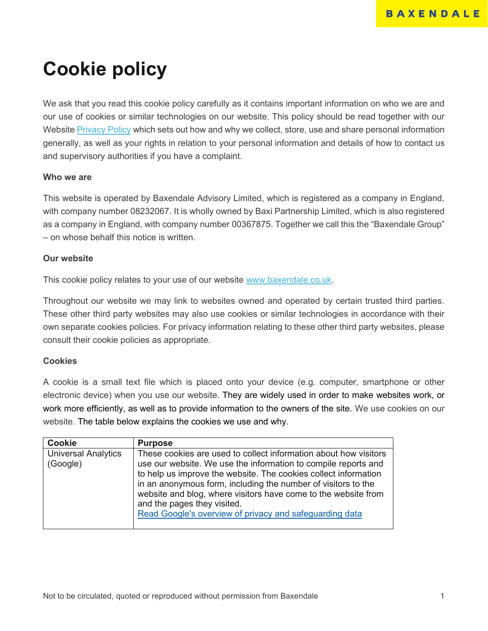# **Cookie policy**

We ask that you read this cookie policy carefully as it contains important information on who we are and our use of cookies or similar technologies on our website. This policy should be read together with our Website [Privacy Policy](https://www.baxendale.co.uk/wp-content/uploads/2018/05/Website-Privacy-Notice-v.1.pdf) which sets out how and why we collect, store, use and share personal information generally, as well as your rights in relation to your personal information and details of how to contact us and supervisory authorities if you have a complaint.

## **Who we are**

This website is operated by Baxendale Advisory Limited, which is registered as a company in England, with company number 08232067. It is wholly owned by Baxi Partnership Limited, which is also registered as a company in England, with company number 00367875. Together we call this the "Baxendale Group" – on whose behalf this notice is written.

## **Our website**

This cookie policy relates to your use of our website [www.baxendale.co.uk.](http://www.baxendale.co.uk/)

Throughout our website we may link to websites owned and operated by certain trusted third parties. These other third party websites may also use cookies or similar technologies in accordance with their own separate cookies policies. For privacy information relating to these other third party websites, please consult their cookie policies as appropriate.

# **Cookies**

A cookie is a small text file which is placed onto your device (e.g. computer, smartphone or other electronic device) when you use our website. They are widely used in order to make websites work, or work more efficiently, as well as to provide information to the owners of the site. We use cookies on our website. The table below explains the cookies we use and why.

| <b>Cookie</b>                          | <b>Purpose</b>                                                                                                                                                                                                                                                                                                                                                                                                                     |
|----------------------------------------|------------------------------------------------------------------------------------------------------------------------------------------------------------------------------------------------------------------------------------------------------------------------------------------------------------------------------------------------------------------------------------------------------------------------------------|
| <b>Universal Analytics</b><br>(Google) | These cookies are used to collect information about how visitors<br>use our website. We use the information to compile reports and<br>to help us improve the website. The cookies collect information<br>in an anonymous form, including the number of visitors to the<br>website and blog, where visitors have come to the website from<br>and the pages they visited.<br>Read Google's overview of privacy and safeguarding data |